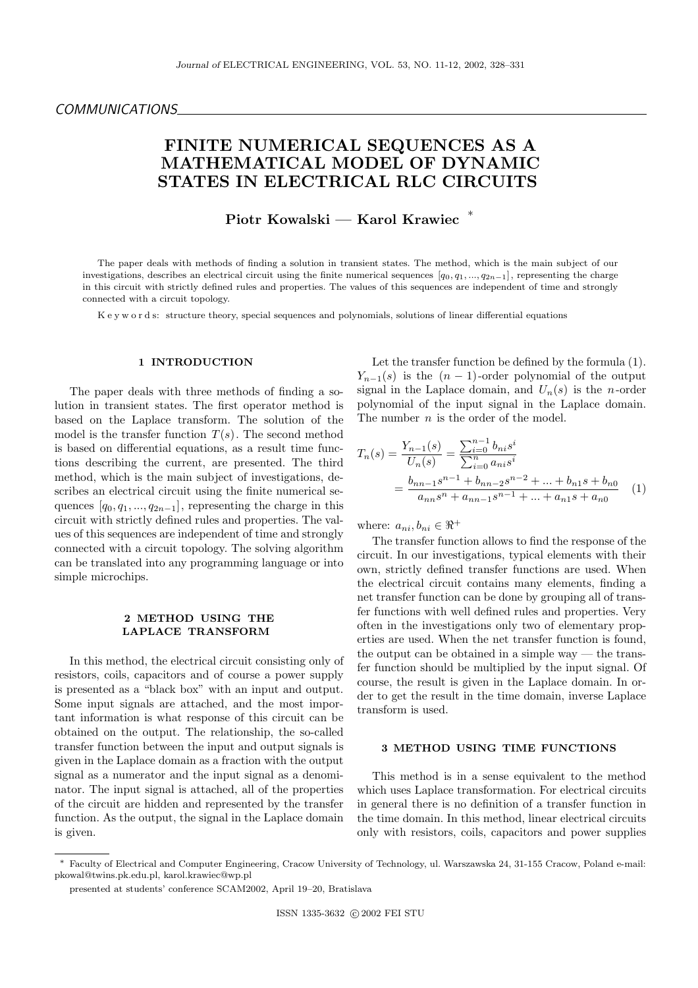# FINITE NUMERICAL SEQUENCES AS A MATHEMATICAL MODEL OF DYNAMIC STATES IN ELECTRICAL RLC CIRCUITS

Piotr Kowalski — Karol Krawiec <sup>∗</sup>

The paper deals with methods of finding a solution in transient states. The method, which is the main subject of our investigations, describes an electrical circuit using the finite numerical sequences  $[q_0, q_1, ..., q_{2n-1}]$ , representing the charge in this circuit with strictly defined rules and properties. The values of this sequences are independent of time and strongly connected with a circuit topology.

K e y w o r d s: structure theory, special sequences and polynomials, solutions of linear differential equations

#### 1 INTRODUCTION

The paper deals with three methods of finding a solution in transient states. The first operator method is based on the Laplace transform. The solution of the model is the transfer function  $T(s)$ . The second method is based on differential equations, as a result time functions describing the current, are presented. The third method, which is the main subject of investigations, describes an electrical circuit using the finite numerical sequences  $[q_0, q_1, ..., q_{2n-1}]$ , representing the charge in this circuit with strictly defined rules and properties. The values of this sequences are independent of time and strongly connected with a circuit topology. The solving algorithm can be translated into any programming language or into simple microchips.

# 2 METHOD USING THE LAPLACE TRANSFORM

In this method, the electrical circuit consisting only of resistors, coils, capacitors and of course a power supply is presented as a "black box" with an input and output. Some input signals are attached, and the most important information is what response of this circuit can be obtained on the output. The relationship, the so-called transfer function between the input and output signals is given in the Laplace domain as a fraction with the output signal as a numerator and the input signal as a denominator. The input signal is attached, all of the properties of the circuit are hidden and represented by the transfer function. As the output, the signal in the Laplace domain is given.

Let the transfer function be defined by the formula (1).  $Y_{n-1}(s)$  is the  $(n-1)$ -order polynomial of the output signal in the Laplace domain, and  $U_n(s)$  is the *n*-order polynomial of the input signal in the Laplace domain. The number *n* is the order of the model.

$$
T_n(s) = \frac{Y_{n-1}(s)}{U_n(s)} = \frac{\sum_{i=0}^{n-1} b_{ni} s^i}{\sum_{i=0}^n a_{ni} s^i}
$$
  
= 
$$
\frac{b_{nn-1} s^{n-1} + b_{nn-2} s^{n-2} + \dots + b_{n1} s + b_{n0}}{a_{nn} s^n + a_{nn-1} s^{n-1} + \dots + a_{n1} s + a_{n0}}
$$
 (1)

where:  $a_{ni}, b_{ni} \in \Re^+$ 

The transfer function allows to find the response of the circuit. In our investigations, typical elements with their own, strictly defined transfer functions are used. When the electrical circuit contains many elements, finding a net transfer function can be done by grouping all of transfer functions with well defined rules and properties. Very often in the investigations only two of elementary properties are used. When the net transfer function is found, the output can be obtained in a simple way — the transfer function should be multiplied by the input signal. Of course, the result is given in the Laplace domain. In order to get the result in the time domain, inverse Laplace transform is used.

### 3 METHOD USING TIME FUNCTIONS

This method is in a sense equivalent to the method which uses Laplace transformation. For electrical circuits in general there is no definition of a transfer function in the time domain. In this method, linear electrical circuits only with resistors, coils, capacitors and power supplies

<sup>∗</sup> Faculty of Electrical and Computer Engineering, Cracow University of Technology, ul. Warszawska 24, 31-155 Cracow, Poland e-mail: pkowal@twins.pk.edu.pl, karol.krawiec@wp.pl

presented at students' conference SCAM2002, April 19–20, Bratislava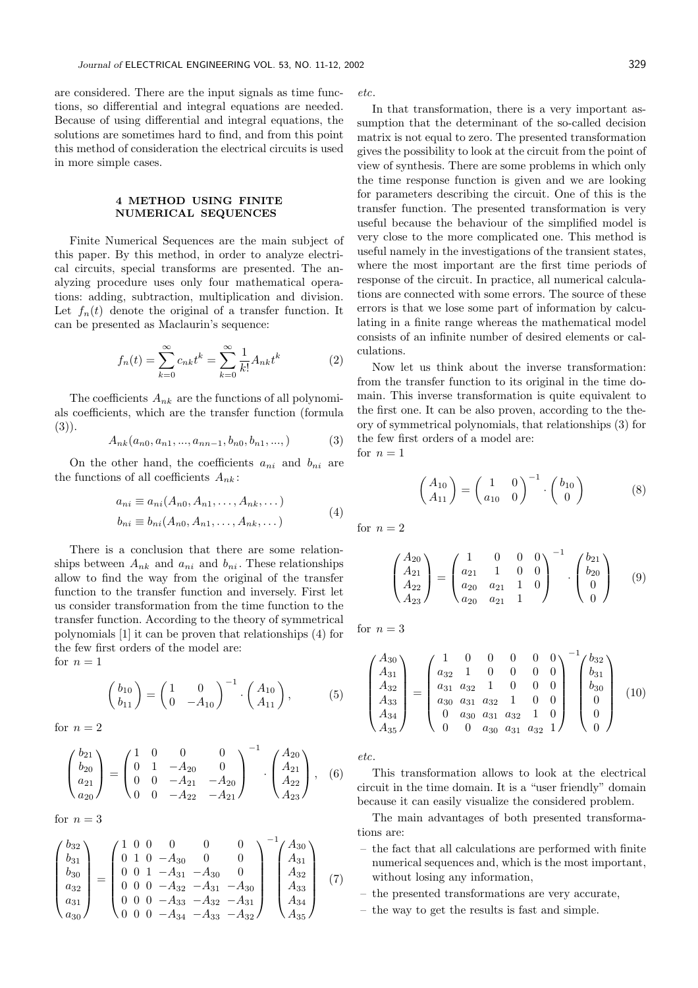are considered. There are the input signals as time functions, so differential and integral equations are needed. Because of using differential and integral equations, the solutions are sometimes hard to find, and from this point this method of consideration the electrical circuits is used in more simple cases.

# 4 METHOD USING FINITE NUMERICAL SEQUENCES

Finite Numerical Sequences are the main subject of this paper. By this method, in order to analyze electrical circuits, special transforms are presented. The analyzing procedure uses only four mathematical operations: adding, subtraction, multiplication and division. Let  $f_n(t)$  denote the original of a transfer function. It can be presented as Maclaurin's sequence:

$$
f_n(t) = \sum_{k=0}^{\infty} c_{nk} t^k = \sum_{k=0}^{\infty} \frac{1}{k!} A_{nk} t^k
$$
 (2)

The coefficients  $A_{nk}$  are the functions of all polynomials coefficients, which are the transfer function (formula (3)).

$$
A_{nk}(a_{n0}, a_{n1}, ..., a_{nn-1}, b_{n0}, b_{n1}, ...,)
$$
 (3)

On the other hand, the coefficients  $a_{ni}$  and  $b_{ni}$  are the functions of all coefficients  $A_{nk}$ :

$$
a_{ni} \equiv a_{ni}(A_{n0}, A_{n1}, \dots, A_{nk}, \dots)
$$

$$
b_{ni} \equiv b_{ni}(A_{n0}, A_{n1}, \dots, A_{nk}, \dots)
$$
 (4)

There is a conclusion that there are some relationships between  $A_{nk}$  and  $a_{ni}$  and  $b_{ni}$ . These relationships allow to find the way from the original of the transfer function to the transfer function and inversely. First let us consider transformation from the time function to the transfer function. According to the theory of symmetrical polynomials [1] it can be proven that relationships (4) for the few first orders of the model are: for  $n = 1$ 

$$
\begin{pmatrix} b_{10} \\ b_{11} \end{pmatrix} = \begin{pmatrix} 1 & 0 \\ 0 & -A_{10} \end{pmatrix}^{-1} \cdot \begin{pmatrix} A_{10} \\ A_{11} \end{pmatrix}, \tag{5}
$$

for  $n = 2$ 

$$
\begin{pmatrix} b_{21} \\ b_{20} \\ a_{21} \\ a_{20} \end{pmatrix} = \begin{pmatrix} 1 & 0 & 0 & 0 \\ 0 & 1 & -A_{20} & 0 \\ 0 & 0 & -A_{21} & -A_{20} \\ 0 & 0 & -A_{22} & -A_{21} \end{pmatrix}^{-1} \cdot \begin{pmatrix} A_{20} \\ A_{21} \\ A_{22} \\ A_{23} \end{pmatrix}, \quad (6)
$$

for  $n = 3$ 

$$
\begin{pmatrix} b_{32} \\ b_{31} \\ b_{30} \\ a_{32} \\ a_{31} \\ a_{30} \end{pmatrix} = \begin{pmatrix} 1 & 0 & 0 & 0 & 0 & 0 \\ 0 & 1 & 0 & -A_{30} & 0 & 0 \\ 0 & 0 & 1 & -A_{31} & -A_{30} & 0 \\ 0 & 0 & 0 & -A_{32} & -A_{31} & -A_{30} \\ 0 & 0 & 0 & -A_{33} & -A_{32} & -A_{31} \\ 0 & 0 & 0 & -A_{34} & -A_{33} & -A_{32} \end{pmatrix} \begin{pmatrix} A_{30} \\ A_{31} \\ A_{32} \\ A_{33} \\ A_{34} \\ A_{35} \end{pmatrix}
$$
 (7)

etc.

In that transformation, there is a very important assumption that the determinant of the so-called decision matrix is not equal to zero. The presented transformation gives the possibility to look at the circuit from the point of view of synthesis. There are some problems in which only the time response function is given and we are looking for parameters describing the circuit. One of this is the transfer function. The presented transformation is very useful because the behaviour of the simplified model is very close to the more complicated one. This method is useful namely in the investigations of the transient states, where the most important are the first time periods of response of the circuit. In practice, all numerical calculations are connected with some errors. The source of these errors is that we lose some part of information by calculating in a finite range whereas the mathematical model consists of an infinite number of desired elements or calculations.

Now let us think about the inverse transformation: from the transfer function to its original in the time domain. This inverse transformation is quite equivalent to the first one. It can be also proven, according to the theory of symmetrical polynomials, that relationships (3) for the few first orders of a model are: for  $n = 1$ 

$$
\begin{pmatrix} A_{10} \\ A_{11} \end{pmatrix} = \begin{pmatrix} 1 & 0 \\ a_{10} & 0 \end{pmatrix}^{-1} \cdot \begin{pmatrix} b_{10} \\ 0 \end{pmatrix} \tag{8}
$$

for  $n = 2$ 

$$
\begin{pmatrix} A_{20} \ A_{21} \ A_{22} \ A_{23} \end{pmatrix} = \begin{pmatrix} 1 & 0 & 0 & 0 \\ a_{21} & 1 & 0 & 0 \\ a_{20} & a_{21} & 1 & 0 \\ a_{20} & a_{21} & 1 & 0 \end{pmatrix}^{-1} \cdot \begin{pmatrix} b_{21} \ b_{20} \ 0 \ 0 \end{pmatrix}
$$
 (9)

for  $n=3$ 

$$
\begin{pmatrix}\nA_{30} \\
A_{31} \\
A_{32} \\
A_{33} \\
A_{34} \\
A_{35}\n\end{pmatrix} = \begin{pmatrix}\n1 & 0 & 0 & 0 & 0 & 0 \\
a_{32} & 1 & 0 & 0 & 0 & 0 \\
a_{31} & a_{32} & 1 & 0 & 0 & 0 \\
a_{30} & a_{31} & a_{32} & 1 & 0 & 0 \\
0 & a_{30} & a_{31} & a_{32} & 1 & 0 \\
0 & 0 & a_{30} & a_{31} & a_{32} & 1\n\end{pmatrix} \begin{pmatrix}\nb_{32} \\
b_{31} \\
b_{30} \\
0 \\
0 \\
0\n\end{pmatrix}
$$
\n(10)

etc.

This transformation allows to look at the electrical circuit in the time domain. It is a "user friendly" domain because it can easily visualize the considered problem.

The main advantages of both presented transformations are:

- the fact that all calculations are performed with finite numerical sequences and, which is the most important, without losing any information,
- the presented transformations are very accurate,
- the way to get the results is fast and simple.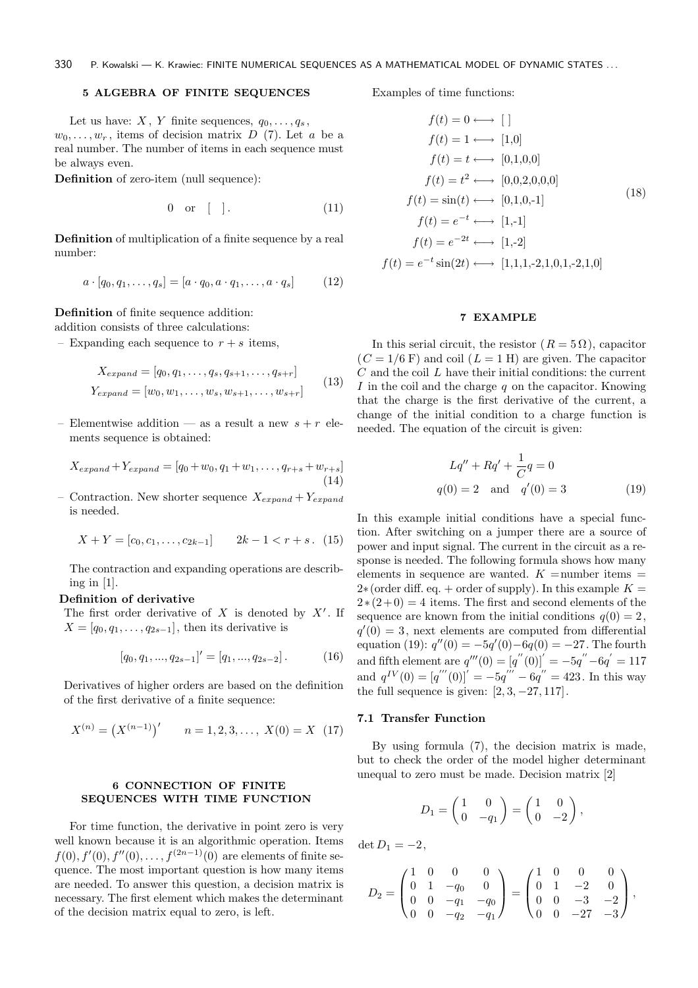# 5 ALGEBRA OF FINITE SEQUENCES

Let us have: X, Y finite sequences,  $q_0, \ldots, q_s$ ,  $w_0, \ldots, w_r$ , items of decision matrix D (7). Let a be a real number. The number of items in each sequence must be always even.

Definition of zero-item (null sequence):

$$
0 \quad \text{or} \quad [ \quad ] \tag{11}
$$

Definition of multiplication of a finite sequence by a real number:

$$
a \cdot [q_0, q_1, \dots, q_s] = [a \cdot q_0, a \cdot q_1, \dots, a \cdot q_s]
$$
 (12)

Definition of finite sequence addition:

addition consists of three calculations:

– Expanding each sequence to  $r + s$  items.

$$
X_{expand} = [q_0, q_1, \dots, q_s, q_{s+1}, \dots, q_{s+r}]
$$
  
\n
$$
Y_{expand} = [w_0, w_1, \dots, w_s, w_{s+1}, \dots, w_{s+r}]
$$
 (13)

– Elementwise addition — as a result a new  $s + r$  elements sequence is obtained:

$$
X_{expand} + Y_{expand} = [q_0 + w_0, q_1 + w_1, \dots, q_{r+s} + w_{r+s}]
$$
\n(14)

Contraction. New shorter sequence  $X_{expand} + Y_{expand}$ is needed.

$$
X + Y = [c_0, c_1, \dots, c_{2k-1}] \qquad 2k - 1 < r + s. \tag{15}
$$

The contraction and expanding operations are describing in  $[1]$ .

# Definition of derivative

The first order derivative of  $X$  is denoted by  $X'$ . If  $X = [q_0, q_1, \ldots, q_{2s-1}]$ , then its derivative is

$$
[q_0, q_1, ..., q_{2s-1}]' = [q_1, ..., q_{2s-2}].
$$
 (16)

Derivatives of higher orders are based on the definition of the first derivative of a finite sequence:

$$
X^{(n)} = (X^{(n-1)})' \qquad n = 1, 2, 3, \dots, X(0) = X \tag{17}
$$

# 6 CONNECTION OF FINITE SEQUENCES WITH TIME FUNCTION

For time function, the derivative in point zero is very well known because it is an algorithmic operation. Items  $f(0), f'(0), f''(0), \ldots, f^{(2n-1)}(0)$  are elements of finite sequence. The most important question is how many items are needed. To answer this question, a decision matrix is necessary. The first element which makes the determinant of the decision matrix equal to zero, is left.

Examples of time functions:

$$
f(t) = 0 \longleftrightarrow [ ]
$$
  
\n
$$
f(t) = 1 \longleftrightarrow [1,0]
$$
  
\n
$$
f(t) = t \longleftrightarrow [0,1,0,0]
$$
  
\n
$$
f(t) = t^2 \longleftrightarrow [0,0,2,0,0,0]
$$
  
\n
$$
f(t) = \sin(t) \longleftrightarrow [0,1,0,-1]
$$
  
\n
$$
f(t) = e^{-t} \longleftrightarrow [1,-1]
$$
  
\n
$$
f(t) = e^{-2t} \longleftrightarrow [1,-2]
$$
  
\n
$$
f(t) = e^{-t} \sin(2t) \longleftrightarrow [1,1,1,-2,1,0,1,-2,1,0]
$$

# 7 EXAMPLE

In this serial circuit, the resistor  $(R = 5 \Omega)$ , capacitor  $(C = 1/6 \text{ F})$  and coil  $(L = 1 \text{ H})$  are given. The capacitor  $C$  and the coil  $L$  have their initial conditions: the current I in the coil and the charge  $q$  on the capacitor. Knowing that the charge is the first derivative of the current, a change of the initial condition to a charge function is needed. The equation of the circuit is given:

$$
Lq'' + Rq' + \frac{1}{C}q = 0
$$
  
 
$$
q(0) = 2 \text{ and } q'(0) = 3
$$
 (19)

In this example initial conditions have a special function. After switching on a jumper there are a source of power and input signal. The current in the circuit as a response is needed. The following formula shows how many elements in sequence are wanted.  $K =$ number items  $=$  $2*(\text{order diff. eq.} + \text{order of supply}).$  In this example  $K =$  $2*(2+0) = 4$  items. The first and second elements of the sequence are known from the initial conditions  $q(0) = 2$ ,  $q'(0) = 3$ , next elements are computed from differential equation (19):  $q''(0) = -5q'(0) - 6q(0) = -27$ . The fourth and fifth element are  $q'''(0) = [q''(0)]' = -5q'' - 6q' = 117$ and  $q^{IV}(0) = [q'''(0)]' = -5q''' - 6q'' = 423$ . In this way the full sequence is given:  $[2, 3, -27, 117]$ .

### 7.1 Transfer Function

By using formula (7), the decision matrix is made, but to check the order of the model higher determinant unequal to zero must be made. Decision matrix [2]

$$
D_1 = \begin{pmatrix} 1 & 0 \\ 0 & -q_1 \end{pmatrix} = \begin{pmatrix} 1 & 0 \\ 0 & -2 \end{pmatrix},
$$

 $\det D_1 = -2,$ 

$$
D_2 = \begin{pmatrix} 1 & 0 & 0 & 0 \\ 0 & 1 & -q_0 & 0 \\ 0 & 0 & -q_1 & -q_0 \\ 0 & 0 & -q_2 & -q_1 \end{pmatrix} = \begin{pmatrix} 1 & 0 & 0 & 0 \\ 0 & 1 & -2 & 0 \\ 0 & 0 & -3 & -2 \\ 0 & 0 & -27 & -3 \end{pmatrix},
$$